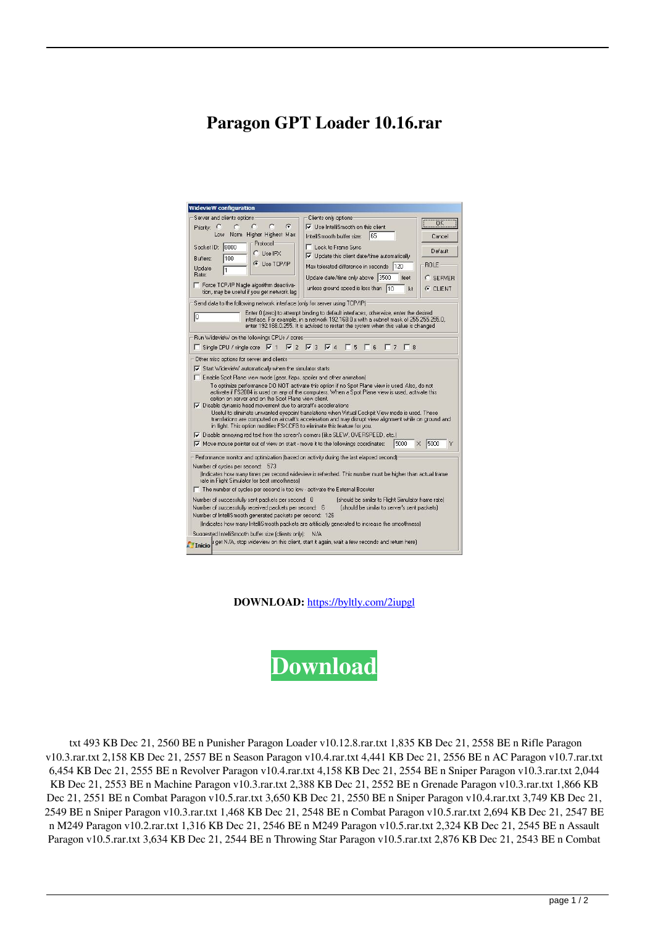## **Paragon GPT Loader 10.16.rar**

| WidevieW configuration                                                                    |                                                                                                                                                                                                                                                                       |             |
|-------------------------------------------------------------------------------------------|-----------------------------------------------------------------------------------------------------------------------------------------------------------------------------------------------------------------------------------------------------------------------|-------------|
| Server and clients options                                                                | Clients only options:                                                                                                                                                                                                                                                 |             |
| G<br>c<br>Priority: C<br>c                                                                | $\nabla$ Use IntelliSmooth on this client                                                                                                                                                                                                                             | ÖΚ          |
| Higher Highest Max<br>Low<br>Norm                                                         | 165<br>IntelliSmooth buffer size:                                                                                                                                                                                                                                     | Cancel      |
| Protocol<br>Socket ID: 8000                                                               | Lock to Frame Sync                                                                                                                                                                                                                                                    | Default     |
| C Use IPX<br>100<br>Buffers:                                                              | $\triangledown$ Update this client date/time automatically                                                                                                                                                                                                            |             |
| G Use TCP/IP<br>Update<br>11                                                              | Max tolerated difference in seconds   120                                                                                                                                                                                                                             | <b>ROLE</b> |
| Rate:                                                                                     | Update date/time only above 3500<br>feet                                                                                                                                                                                                                              | C SERVER    |
| Force TCP/IP Nagle algorithm deactiva-<br>п<br>tion, may be useful if you get network lag | unless ground speed is less than 10<br>kt                                                                                                                                                                                                                             | $C$ CLIENT  |
| Send data to the following network interface (only for server using TCP/IP).              |                                                                                                                                                                                                                                                                       |             |
| 10                                                                                        | Enter 0 (zero) to attempt binding to default interfaces, otherwise, enter the desired<br>interface. For example, in a network 192.168.0.x with a subnet mask of 255.255.255.0,<br>enter 192.168.0.255. It is advised to restart the system when this value is changed |             |
| Run WidevieW on the followings CPUs / cores                                               |                                                                                                                                                                                                                                                                       |             |
| $\Box$ Single CPU / single core $\triangledown$ 1                                         | $\nabla$ 2 $\nabla$ 3 $\nabla$ 4<br>$\mathsf{R}$<br>$\Gamma$ 8<br>5                                                                                                                                                                                                   |             |
| Other misc options for server and clients                                                 |                                                                                                                                                                                                                                                                       |             |
|                                                                                           |                                                                                                                                                                                                                                                                       |             |
| Start WidevieW automatically when the simulator starts                                    |                                                                                                                                                                                                                                                                       |             |
| Enable Spot Plane view mode (gear, flaps, spoiler and other animation)                    |                                                                                                                                                                                                                                                                       |             |
| option on server and on the Spot Plane view client.                                       | To optimize performance DO NOT activate this option if no Spot Plane view is used. Also, do not<br>activate if FS2004 is used on any of the computers. When a Spot Plane view is used, activate this                                                                  |             |
| $\nabla$ Disable dynamic head movement due to aircraft's accelerations                    |                                                                                                                                                                                                                                                                       |             |
| in flight. This option modifies FSX.CFG to eliminate this feature for you.                | Useful to eliminate unwanted eyepoint translations when Virtual Cockpit View mode is used. These<br>translations are computed on aircraft's acceleration and may disrupt view alignment while on ground and                                                           |             |
| Ⅳ Disable annoving red text from the screen's corners (like SLEW, OVERSPEED, etc.)        |                                                                                                                                                                                                                                                                       |             |
| $\nabla$ Move mouse pointer out of view on start - move it to the followings coordinates: | 5000                                                                                                                                                                                                                                                                  | 5000<br>×   |
| Performance monitor and optimization (based on activity during the last elapsed second)   |                                                                                                                                                                                                                                                                       |             |
| Number of cycles per second:<br>573                                                       |                                                                                                                                                                                                                                                                       |             |
| rate in Flight Simulator for best smoothness)                                             | findicates how many times per second wideview is refreshed. This number must be higher than actual frame                                                                                                                                                              |             |
| $\Box$ The number of cycles per second is too low - activate the External Booster         |                                                                                                                                                                                                                                                                       |             |
| Number of successfully sent packets per second: 0                                         | (should be similar to Flight Simulator frame rate)                                                                                                                                                                                                                    |             |
| Number of successfully received packets per second: 6                                     | (should be similar to server's sent packets)                                                                                                                                                                                                                          |             |
| Number of IntelliSmooth generated packets per second: 126                                 |                                                                                                                                                                                                                                                                       |             |
|                                                                                           | (Indicates how many IntelliSmooth packets are artificially generated to increase the smoothness).                                                                                                                                                                     |             |
|                                                                                           |                                                                                                                                                                                                                                                                       |             |
| Suggested IntelliSmooth buffer size (clients only):                                       | N/A<br>Inicio il get N/A, stop wideview on this client, start it again, wait a few seconds and return here)                                                                                                                                                           |             |

**DOWNLOAD:** <https://byltly.com/2iupgl>



 txt 493 KB Dec 21, 2560 BE n Punisher Paragon Loader v10.12.8.rar.txt 1,835 KB Dec 21, 2558 BE n Rifle Paragon v10.3.rar.txt 2,158 KB Dec 21, 2557 BE n Season Paragon v10.4.rar.txt 4,441 KB Dec 21, 2556 BE n AC Paragon v10.7.rar.txt 6,454 KB Dec 21, 2555 BE n Revolver Paragon v10.4.rar.txt 4,158 KB Dec 21, 2554 BE n Sniper Paragon v10.3.rar.txt 2,044 KB Dec 21, 2553 BE n Machine Paragon v10.3.rar.txt 2,388 KB Dec 21, 2552 BE n Grenade Paragon v10.3.rar.txt 1,866 KB Dec 21, 2551 BE n Combat Paragon v10.5.rar.txt 3,650 KB Dec 21, 2550 BE n Sniper Paragon v10.4.rar.txt 3,749 KB Dec 21, 2549 BE n Sniper Paragon v10.3.rar.txt 1,468 KB Dec 21, 2548 BE n Combat Paragon v10.5.rar.txt 2,694 KB Dec 21, 2547 BE n M249 Paragon v10.2.rar.txt 1,316 KB Dec 21, 2546 BE n M249 Paragon v10.5.rar.txt 2,324 KB Dec 21, 2545 BE n Assault Paragon v10.5.rar.txt 3,634 KB Dec 21, 2544 BE n Throwing Star Paragon v10.5.rar.txt 2,876 KB Dec 21, 2543 BE n Combat